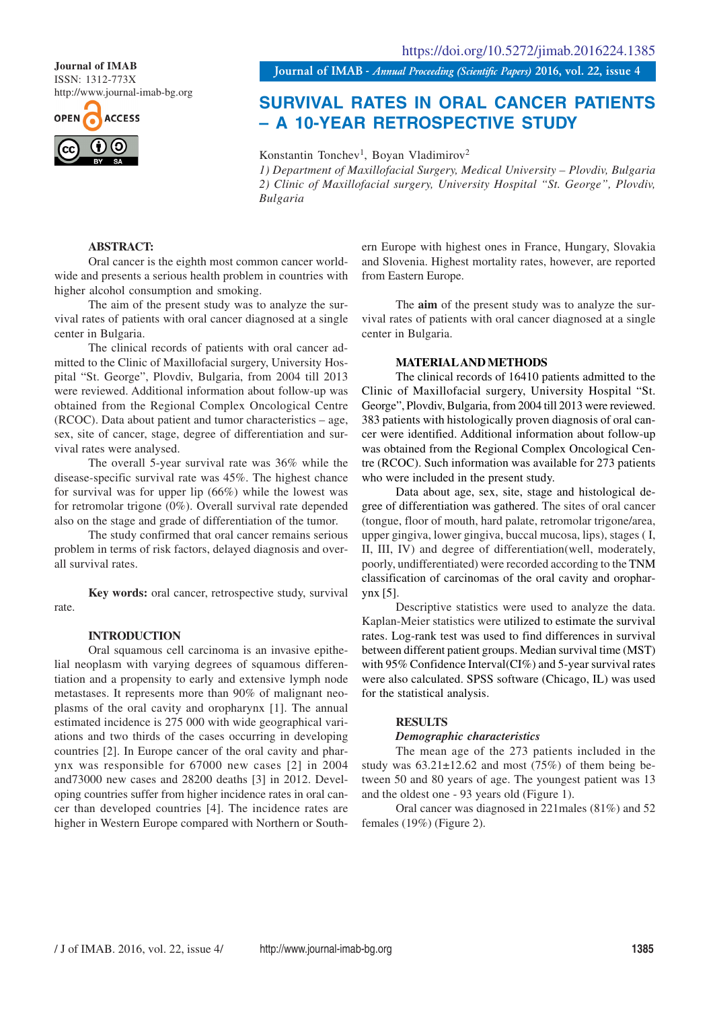ISSN: 1312-773X http://www.journal-imab-bg.org



**Journal of IMAB** *- Annual Proceeding (Scientific Papers)* **2016, vol. 22, issue 4 Journal of IMAB**

# **SURVIVAL RATES IN ORAL CANCER PATIENTS – A 10-YEAR RETROSPECTIVE STUDY**

Konstantin Tonchev<sup>1</sup>, Boyan Vladimirov<sup>2</sup> *1) Department of Maxillofacial Surgery, Medical University – Plovdiv, Bulgaria 2) Clinic of Maxillofacial surgery, University Hospital "St. George", Plovdiv, Bulgaria*

## **ABSTRACT:**

Oral cancer is the eighth most common cancer worldwide and presents a serious health problem in countries with higher alcohol consumption and smoking.

The aim of the present study was to analyze the survival rates of patients with oral cancer diagnosed at a single center in Bulgaria.

The clinical records of patients with oral cancer admitted to the Clinic of Maxillofacial surgery, University Hospital "St. George", Plovdiv, Bulgaria, from 2004 till 2013 were reviewed. Additional information about follow-up was obtained from the Regional Complex Oncological Centre (RCOC). Data about patient and tumor characteristics – age, sex, site of cancer, stage, degree of differentiation and survival rates were analysed.

The overall 5-year survival rate was 36% while the disease-specific survival rate was 45%. The highest chance for survival was for upper lip (66%) while the lowest was for retromolar trigone (0%). Overall survival rate depended also on the stage and grade of differentiation of the tumor.

The study confirmed that oral cancer remains serious problem in terms of risk factors, delayed diagnosis and overall survival rates.

**Key words:** oral cancer, retrospective study, survival rate.

## **INTRODUCTION**

Oral squamous cell carcinoma is an invasive epithelial neoplasm with varying degrees of squamous differentiation and a propensity to early and extensive lymph node metastases. It represents more than 90% of malignant neoplasms of the oral cavity and oropharynx [1]. The annual estimated incidence is 275 000 with wide geographical variations and two thirds of the cases occurring in developing countries [2]. In Europe cancer of the oral cavity and pharynx was responsible for 67000 new cases [2] in 2004 and73000 new cases and 28200 deaths [3] in 2012. Developing countries suffer from higher incidence rates in oral cancer than developed countries [4]. The incidence rates are higher in Western Europe compared with Northern or Southern Europe with highest ones in France, Hungary, Slovakia and Slovenia. Highest mortality rates, however, are reported from Eastern Europe.

The **aim** of the present study was to analyze the survival rates of patients with oral cancer diagnosed at a single center in Bulgaria.

## **MATERIAL AND METHODS**

The clinical records of 16410 patients admitted to the Clinic of Maxillofacial surgery, University Hospital "St. George", Plovdiv, Bulgaria, from 2004 till 2013 were reviewed. 383 patients with histologically proven diagnosis of oral cancer were identified. Additional information about follow-up was obtained from the Regional Complex Oncological Centre (RCOC). Such information was available for 273 patients who were included in the present study.

Data about age, sex, site, stage and histological degree of differentiation was gathered. The sites of oral cancer (tongue, floor of mouth, hard palate, retromolar trigone/area, upper gingiva, lower gingiva, buccal mucosa, lips), stages ( I, II, III, IV) and degree of differentiation(well, moderately, poorly, undifferentiated) were recorded according to the TNM classification of carcinomas of the oral cavity and oropharynx [5].

Descriptive statistics were used to analyze the data. Kaplan-Meier statistics were utilized to estimate the survival rates. Log-rank test was used to find differences in survival between different patient groups. Median survival time (MST) with 95% Confidence Interval(CI%) and 5-year survival rates were also calculated. SPSS software (Chicago, IL) was used for the statistical analysis.

## **RESULTS**

## *Demographic characteristics*

The mean age of the 273 patients included in the study was  $63.21 \pm 12.62$  and most (75%) of them being between 50 and 80 years of age. The youngest patient was 13 and the oldest one - 93 years old (Figure 1).

Oral cancer was diagnosed in 221males (81%) and 52 females (19%) (Figure 2).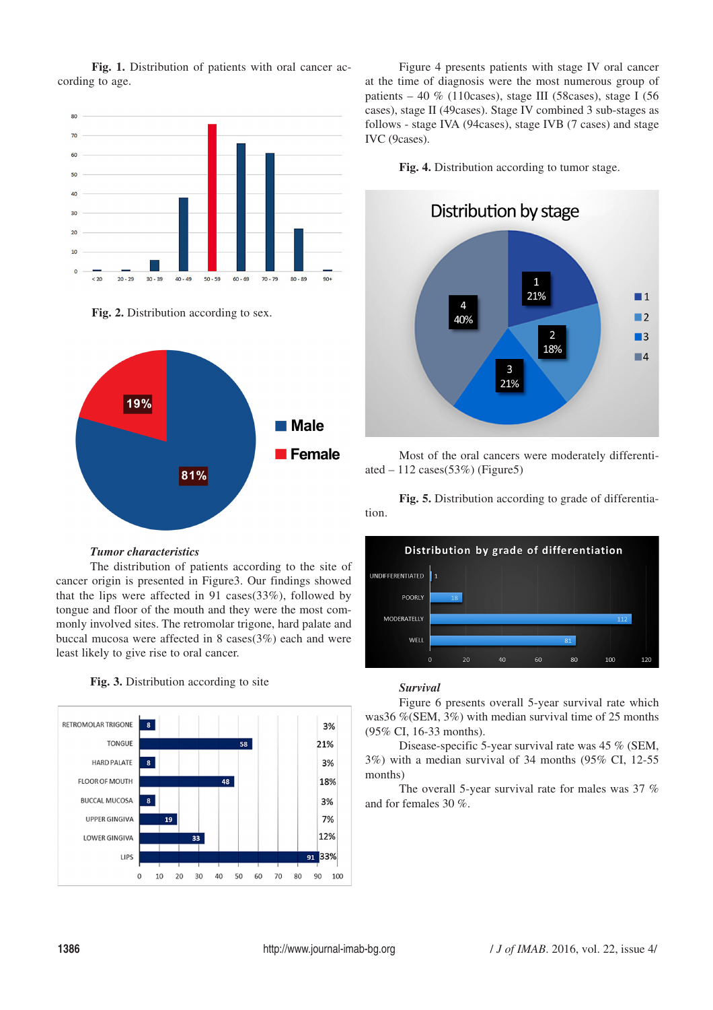**Fig. 1.** Distribution of patients with oral cancer according to age.



**Fig. 2.** Distribution according to sex.



## *Tumor characteristics*

The distribution of patients according to the site of cancer origin is presented in Figure3. Our findings showed that the lips were affected in 91 cases(33%), followed by tongue and floor of the mouth and they were the most commonly involved sites. The retromolar trigone, hard palate and buccal mucosa were affected in 8 cases(3%) each and were least likely to give rise to oral cancer.





Figure 4 presents patients with stage IV oral cancer at the time of diagnosis were the most numerous group of patients – 40 % (110cases), stage III (58cases), stage I (56 cases), stage II (49cases). Stage IV combined 3 sub-stages as follows - stage IVA (94cases), stage IVB (7 cases) and stage IVC (9cases).

**Fig. 4.** Distribution according to tumor stage.



Most of the oral cancers were moderately differentiated  $-112$  cases(53%) (Figure5)

**Fig. 5.** Distribution according to grade of differentiation.



## *Survival*

Figure 6 presents overall 5-year survival rate which was36 %(SEM, 3%) with median survival time of 25 months (95% CI, 16-33 months).

Disease-specific 5-year survival rate was 45 % (SEM, 3%) with a median survival of 34 months (95% CI, 12-55 months)

The overall 5-year survival rate for males was 37 % and for females 30 %.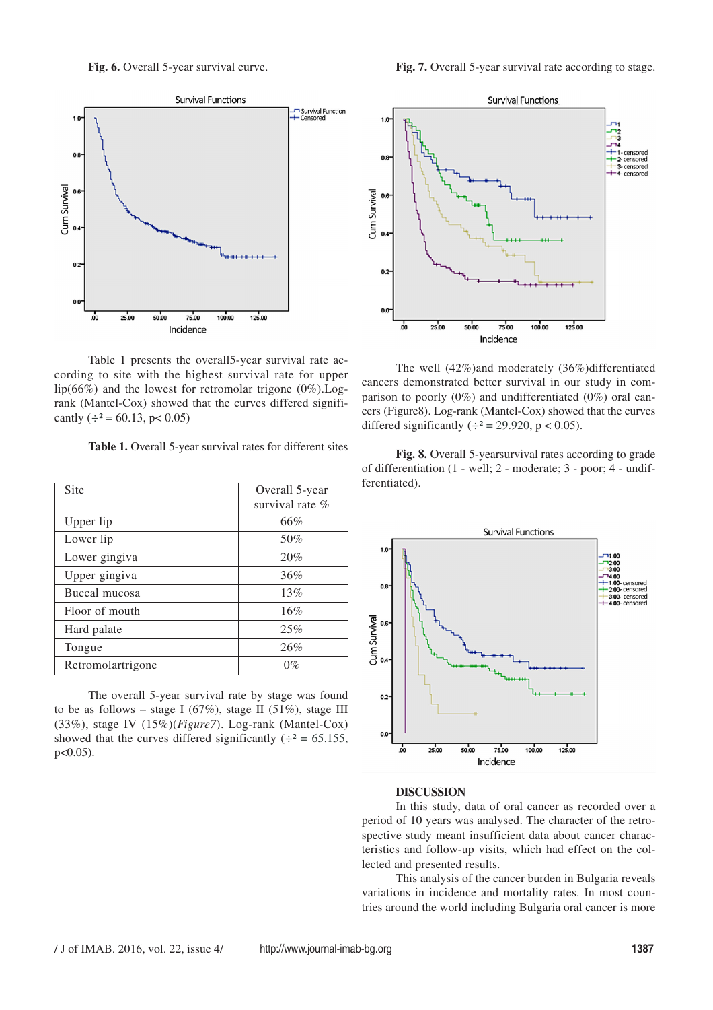



Table 1 presents the overall5-year survival rate according to site with the highest survival rate for upper lip(66%) and the lowest for retromolar trigone  $(0\%)$ . Logrank (Mantel-Cox) showed that the curves differed significantly  $(\div^2 = 60.13, \text{ p} < 0.05)$ 

**Table 1.** Overall 5-year survival rates for different sites

| Site              | Overall 5-year  |
|-------------------|-----------------|
|                   | survival rate % |
| Upper lip         | 66%             |
| Lower lip         | 50%             |
| Lower gingiva     | 20%             |
| Upper gingiva     | 36%             |
| Buccal mucosa     | 13%             |
| Floor of mouth    | 16%             |
| Hard palate       | 25%             |
| Tongue            | 26%             |
| Retromolartrigone | $0\%$           |

The overall 5-year survival rate by stage was found to be as follows – stage I (67%), stage II (51%), stage III (33%), stage IV (15%)(*Figure7*). Log-rank (Mantel-Cox) showed that the curves differed significantly  $(\div^2 = 65.155,$ p<0.05).



The well (42%)and moderately (36%)differentiated cancers demonstrated better survival in our study in comparison to poorly (0%) and undifferentiated (0%) oral cancers (Figure8). Log-rank (Mantel-Cox) showed that the curves differed significantly  $(\div^2 = 29.920, p < 0.05)$ .

**Fig. 8.** Overall 5-yearsurvival rates according to grade of differentiation (1 - well; 2 - moderate; 3 - poor; 4 - undifferentiated).



#### **DISCUSSION**

In this study, data of oral cancer as recorded over a period of 10 years was analysed. The character of the retrospective study meant insufficient data about cancer characteristics and follow-up visits, which had effect on the collected and presented results.

This analysis of the cancer burden in Bulgaria reveals variations in incidence and mortality rates. In most countries around the world including Bulgaria oral cancer is more